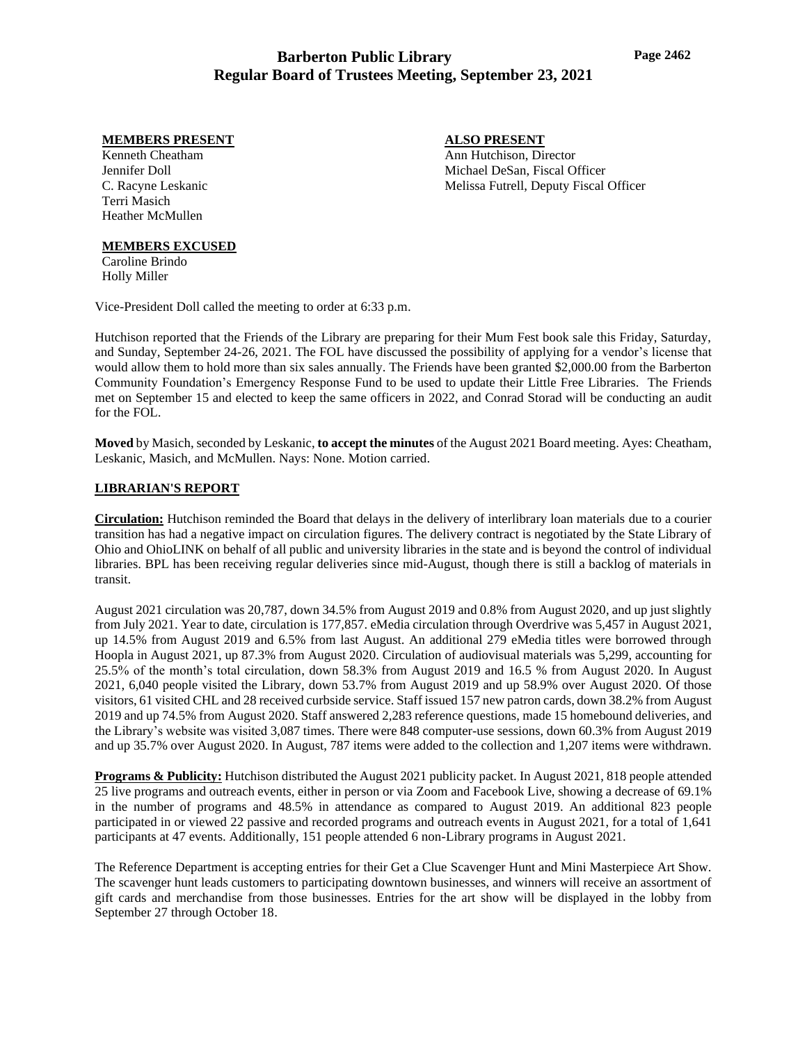### **MEMBERS PRESENT**

Kenneth Cheatham Jennifer Doll C. Racyne Leskanic Terri Masich Heather McMullen

#### **MEMBERS EXCUSED**

Caroline Brindo Holly Miller

Vice-President Doll called the meeting to order at 6:33 p.m.

Hutchison reported that the Friends of the Library are preparing for their Mum Fest book sale this Friday, Saturday, and Sunday, September 24-26, 2021. The FOL have discussed the possibility of applying for a vendor's license that would allow them to hold more than six sales annually. The Friends have been granted \$2,000.00 from the Barberton Community Foundation's Emergency Response Fund to be used to update their Little Free Libraries. The Friends met on September 15 and elected to keep the same officers in 2022, and Conrad Storad will be conducting an audit for the FOL.

**Moved** by Masich, seconded by Leskanic, **to accept the minutes** of the August 2021 Board meeting. Ayes: Cheatham, Leskanic, Masich, and McMullen. Nays: None. Motion carried.

#### **LIBRARIAN'S REPORT**

**Circulation:** Hutchison reminded the Board that delays in the delivery of interlibrary loan materials due to a courier transition has had a negative impact on circulation figures. The delivery contract is negotiated by the State Library of Ohio and OhioLINK on behalf of all public and university libraries in the state and is beyond the control of individual libraries. BPL has been receiving regular deliveries since mid-August, though there is still a backlog of materials in transit.

August 2021 circulation was 20,787, down 34.5% from August 2019 and 0.8% from August 2020, and up just slightly from July 2021. Year to date, circulation is 177,857. eMedia circulation through Overdrive was 5,457 in August 2021, up 14.5% from August 2019 and 6.5% from last August. An additional 279 eMedia titles were borrowed through Hoopla in August 2021, up 87.3% from August 2020. Circulation of audiovisual materials was 5,299, accounting for 25.5% of the month's total circulation, down 58.3% from August 2019 and 16.5 % from August 2020. In August 2021, 6,040 people visited the Library, down 53.7% from August 2019 and up 58.9% over August 2020. Of those visitors, 61 visited CHL and 28 received curbside service. Staff issued 157 new patron cards, down 38.2% from August 2019 and up 74.5% from August 2020. Staff answered 2,283 reference questions, made 15 homebound deliveries, and the Library's website was visited 3,087 times. There were 848 computer-use sessions, down 60.3% from August 2019 and up 35.7% over August 2020. In August, 787 items were added to the collection and 1,207 items were withdrawn.

**Programs & Publicity:** Hutchison distributed the August 2021 publicity packet. In August 2021, 818 people attended 25 live programs and outreach events, either in person or via Zoom and Facebook Live, showing a decrease of 69.1% in the number of programs and 48.5% in attendance as compared to August 2019. An additional 823 people participated in or viewed 22 passive and recorded programs and outreach events in August 2021, for a total of 1,641 participants at 47 events. Additionally, 151 people attended 6 non-Library programs in August 2021.

The Reference Department is accepting entries for their Get a Clue Scavenger Hunt and Mini Masterpiece Art Show. The scavenger hunt leads customers to participating downtown businesses, and winners will receive an assortment of gift cards and merchandise from those businesses. Entries for the art show will be displayed in the lobby from September 27 through October 18.

## **ALSO PRESENT**

Ann Hutchison, Director Michael DeSan, Fiscal Officer Melissa Futrell, Deputy Fiscal Officer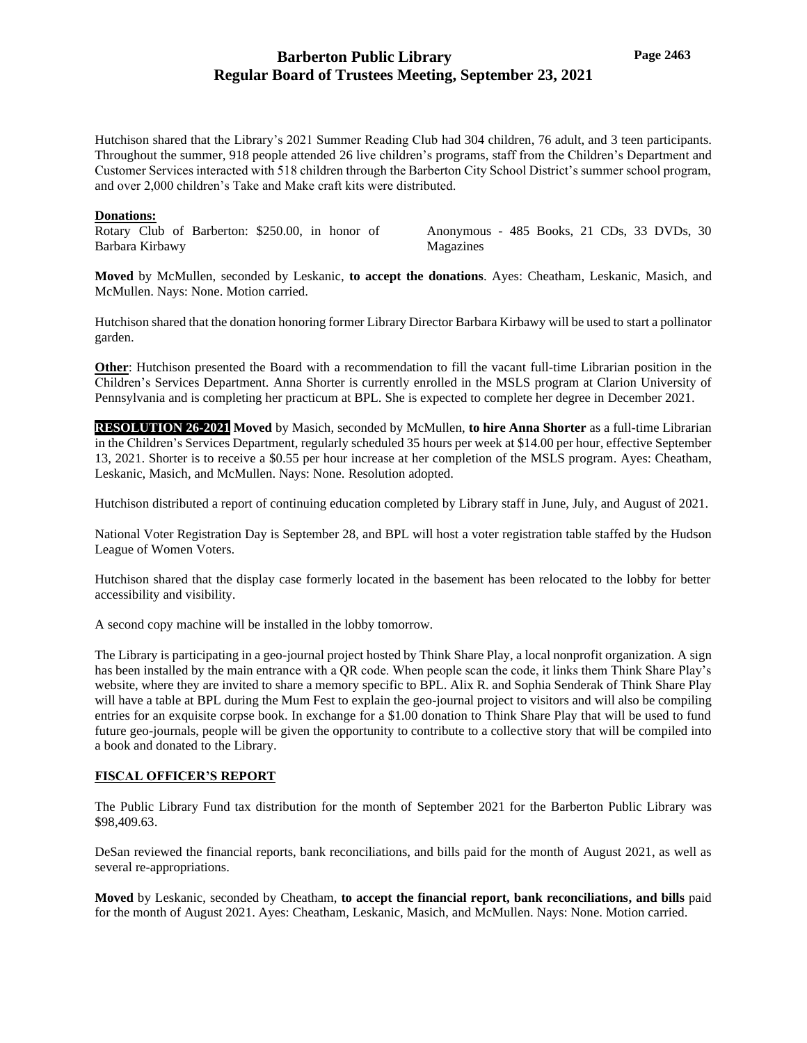Hutchison shared that the Library's 2021 Summer Reading Club had 304 children, 76 adult, and 3 teen participants. Throughout the summer, 918 people attended 26 live children's programs, staff from the Children's Department and Customer Services interacted with 518 children through the Barberton City School District's summer school program, and over 2,000 children's Take and Make craft kits were distributed.

#### **Donations:**

Rotary Club of Barberton: \$250.00, in honor of Barbara Kirbawy

Anonymous - 485 Books, 21 CDs, 33 DVDs, 30 Magazines

**Moved** by McMullen, seconded by Leskanic, **to accept the donations**. Ayes: Cheatham, Leskanic, Masich, and McMullen. Nays: None. Motion carried.

Hutchison shared that the donation honoring former Library Director Barbara Kirbawy will be used to start a pollinator garden.

**Other**: Hutchison presented the Board with a recommendation to fill the vacant full-time Librarian position in the Children's Services Department. Anna Shorter is currently enrolled in the MSLS program at Clarion University of Pennsylvania and is completing her practicum at BPL. She is expected to complete her degree in December 2021.

**RESOLUTION 26-2021 Moved** by Masich, seconded by McMullen, **to hire Anna Shorter** as a full-time Librarian in the Children's Services Department, regularly scheduled 35 hours per week at \$14.00 per hour, effective September 13, 2021. Shorter is to receive a \$0.55 per hour increase at her completion of the MSLS program. Ayes: Cheatham, Leskanic, Masich, and McMullen. Nays: None. Resolution adopted.

Hutchison distributed a report of continuing education completed by Library staff in June, July, and August of 2021.

National Voter Registration Day is September 28, and BPL will host a voter registration table staffed by the Hudson League of Women Voters.

Hutchison shared that the display case formerly located in the basement has been relocated to the lobby for better accessibility and visibility.

A second copy machine will be installed in the lobby tomorrow.

The Library is participating in a geo-journal project hosted by Think Share Play, a local nonprofit organization. A sign has been installed by the main entrance with a QR code. When people scan the code, it links them Think Share Play's website, where they are invited to share a memory specific to BPL. Alix R. and Sophia Senderak of Think Share Play will have a table at BPL during the Mum Fest to explain the geo-journal project to visitors and will also be compiling entries for an exquisite corpse book. In exchange for a \$1.00 donation to Think Share Play that will be used to fund future geo-journals, people will be given the opportunity to contribute to a collective story that will be compiled into a book and donated to the Library.

#### **FISCAL OFFICER'S REPORT**

The Public Library Fund tax distribution for the month of September 2021 for the Barberton Public Library was \$98,409.63.

DeSan reviewed the financial reports, bank reconciliations, and bills paid for the month of August 2021, as well as several re-appropriations.

**Moved** by Leskanic, seconded by Cheatham, **to accept the financial report, bank reconciliations, and bills** paid for the month of August 2021. Ayes: Cheatham, Leskanic, Masich, and McMullen. Nays: None. Motion carried.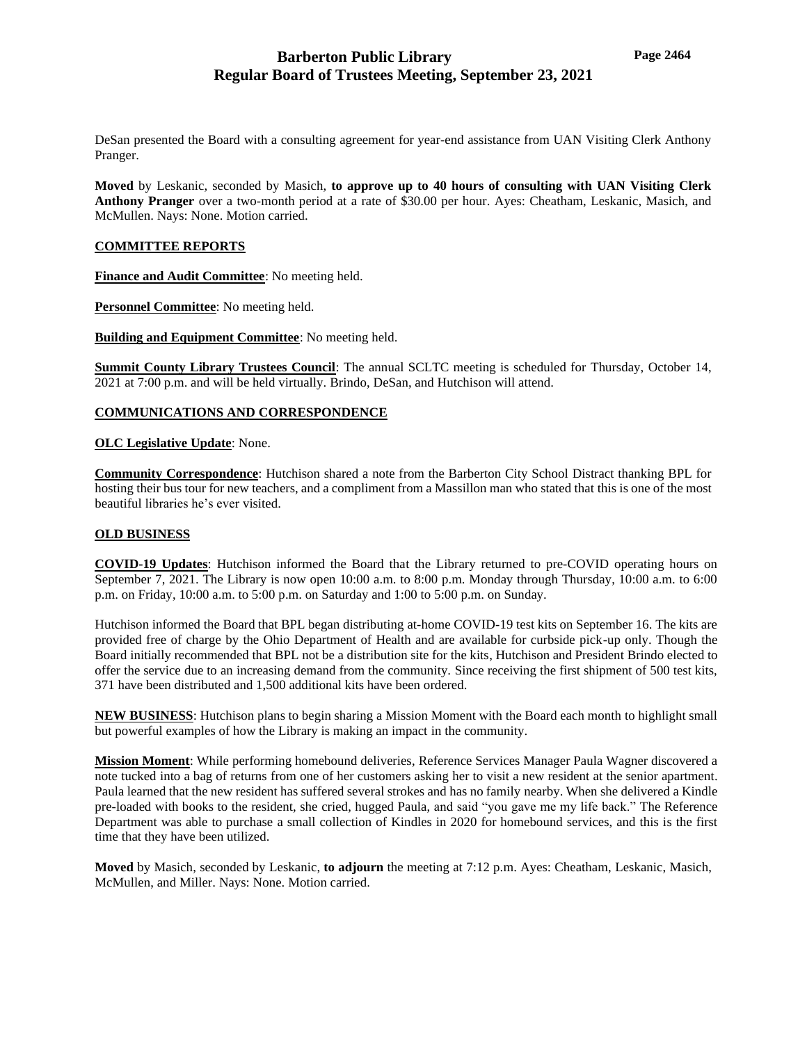DeSan presented the Board with a consulting agreement for year-end assistance from UAN Visiting Clerk Anthony Pranger.

**Moved** by Leskanic, seconded by Masich, **to approve up to 40 hours of consulting with UAN Visiting Clerk Anthony Pranger** over a two-month period at a rate of \$30.00 per hour. Ayes: Cheatham, Leskanic, Masich, and McMullen. Nays: None. Motion carried.

### **COMMITTEE REPORTS**

**Finance and Audit Committee**: No meeting held.

**Personnel Committee**: No meeting held.

**Building and Equipment Committee**: No meeting held.

**Summit County Library Trustees Council**: The annual SCLTC meeting is scheduled for Thursday, October 14, 2021 at 7:00 p.m. and will be held virtually. Brindo, DeSan, and Hutchison will attend.

### **COMMUNICATIONS AND CORRESPONDENCE**

#### **OLC Legislative Update**: None.

**Community Correspondence**: Hutchison shared a note from the Barberton City School Distract thanking BPL for hosting their bus tour for new teachers, and a compliment from a Massillon man who stated that this is one of the most beautiful libraries he's ever visited.

#### **OLD BUSINESS**

**COVID-19 Updates**: Hutchison informed the Board that the Library returned to pre-COVID operating hours on September 7, 2021. The Library is now open 10:00 a.m. to 8:00 p.m. Monday through Thursday, 10:00 a.m. to 6:00 p.m. on Friday, 10:00 a.m. to 5:00 p.m. on Saturday and 1:00 to 5:00 p.m. on Sunday.

Hutchison informed the Board that BPL began distributing at-home COVID-19 test kits on September 16. The kits are provided free of charge by the Ohio Department of Health and are available for curbside pick-up only. Though the Board initially recommended that BPL not be a distribution site for the kits, Hutchison and President Brindo elected to offer the service due to an increasing demand from the community. Since receiving the first shipment of 500 test kits, 371 have been distributed and 1,500 additional kits have been ordered.

**NEW BUSINESS**: Hutchison plans to begin sharing a Mission Moment with the Board each month to highlight small but powerful examples of how the Library is making an impact in the community.

**Mission Moment**: While performing homebound deliveries, Reference Services Manager Paula Wagner discovered a note tucked into a bag of returns from one of her customers asking her to visit a new resident at the senior apartment. Paula learned that the new resident has suffered several strokes and has no family nearby. When she delivered a Kindle pre-loaded with books to the resident, she cried, hugged Paula, and said "you gave me my life back." The Reference Department was able to purchase a small collection of Kindles in 2020 for homebound services, and this is the first time that they have been utilized.

**Moved** by Masich, seconded by Leskanic, **to adjourn** the meeting at 7:12 p.m. Ayes: Cheatham, Leskanic, Masich, McMullen, and Miller. Nays: None. Motion carried.